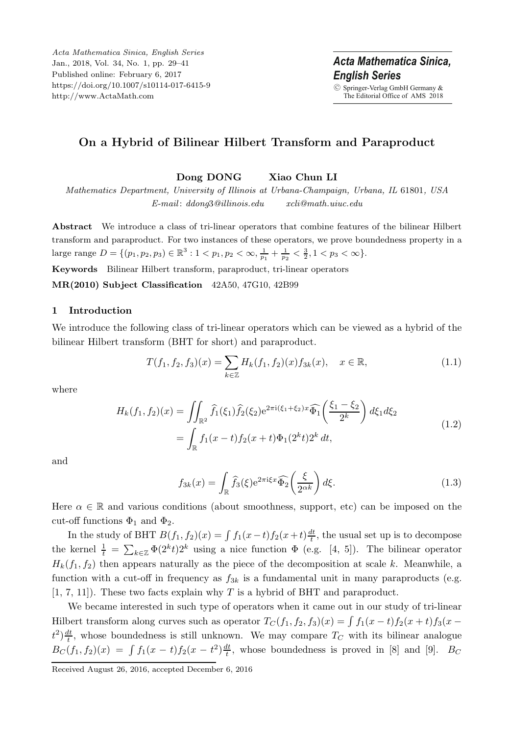*Acta Mathematica Sinica, English Series* Jan., 2018, Vol. 34, No. 1, pp. 29–41 Published online: February 6, 2017 https://doi.org/10.1007/s10114-017-6415-9 http://www.ActaMath.com

Acta Mathematica Sinica. *<u>English Series</u> English Series* © Springer-Verlag GmbH Germany & The Editorial Office of AMS 2018

# **On a Hybrid of Bilinear Hilbert Transform and Paraproduct**

**Dong DONG Xiao Chun LI**

*Mathematics Department, University of Illinois at Urbana-Champaign, Urbana, IL* 61801*, USA E-mail* : *ddong*3*@illinois.edu xcli@math.uiuc.edu*

**Abstract** We introduce a class of tri-linear operators that combine features of the bilinear Hilbert transform and paraproduct. For two instances of these operators, we prove boundedness property in a large range  $D = \{(p_1, p_2, p_3) \in \mathbb{R}^3 : 1 < p_1, p_2 < \infty, \frac{1}{p_1} + \frac{1}{p_2} < \frac{3}{2}, 1 < p_3 < \infty\}.$ 

**Keywords** Bilinear Hilbert transform, paraproduct, tri-linear operators

**MR(2010) Subject Classification** 42A50, 47G10, 42B99

#### **1 Introduction**

We introduce the following class of tri-linear operators which can be viewed as a hybrid of the bilinear Hilbert transform (BHT for short) and paraproduct.

$$
T(f_1, f_2, f_3)(x) = \sum_{k \in \mathbb{Z}} H_k(f_1, f_2)(x) f_{3k}(x), \quad x \in \mathbb{R},
$$
\n(1.1)

where

$$
H_k(f_1, f_2)(x) = \iint_{\mathbb{R}^2} \widehat{f}_1(\xi_1) \widehat{f}_2(\xi_2) e^{2\pi i (\xi_1 + \xi_2)x} \widehat{\Phi}_1\left(\frac{\xi_1 - \xi_2}{2^k}\right) d\xi_1 d\xi_2
$$
  
= 
$$
\int_{\mathbb{R}} f_1(x - t) f_2(x + t) \Phi_1(2^k t) 2^k dt,
$$
 (1.2)

and

$$
f_{3k}(x) = \int_{\mathbb{R}} \widehat{f}_3(\xi) e^{2\pi i \xi x} \widehat{\Phi}_2\left(\frac{\xi}{2^{\alpha k}}\right) d\xi.
$$
 (1.3)

Here  $\alpha \in \mathbb{R}$  and various conditions (about smoothness, support, etc) can be imposed on the cut-off functions  $\Phi_1$  and  $\Phi_2$ .

In the study of BHT  $B(f_1, f_2)(x) = \int f_1(x-t) f_2(x+t) \frac{dt}{t}$ , the usual set up is to decompose the kernel  $\frac{1}{t} = \sum_{k \in \mathbb{Z}} \Phi(2^k t) 2^k$  using a nice function  $\Phi$  (e.g. [4, 5]). The bilinear operator  $H_k(f_1, f_2)$  then appears naturally as the piece of the decomposition at scale k. Meanwhile, a function with a cut-off in frequency as  $f_{3k}$  is a fundamental unit in many paraproducts (e.g.  $[1, 7, 11]$ . These two facts explain why T is a hybrid of BHT and paraproduct.

We became interested in such type of operators when it came out in our study of tri-linear Hilbert transform along curves such as operator  $T_C(f_1, f_2, f_3)(x) = \int f_1(x-t)f_2(x+t)f_3(x-t)$  $t^2 \frac{dt}{t}$ , whose boundedness is still unknown. We may compare  $T_C$  with its bilinear analogue  $B_C(f_1, f_2)(x) = \int f_1(x-t)f_2(x-t^2)\frac{dt}{t}$ , whose boundedness is proved in [8] and [9].  $B_C$ 

Received August 26, 2016, accepted December 6, 2016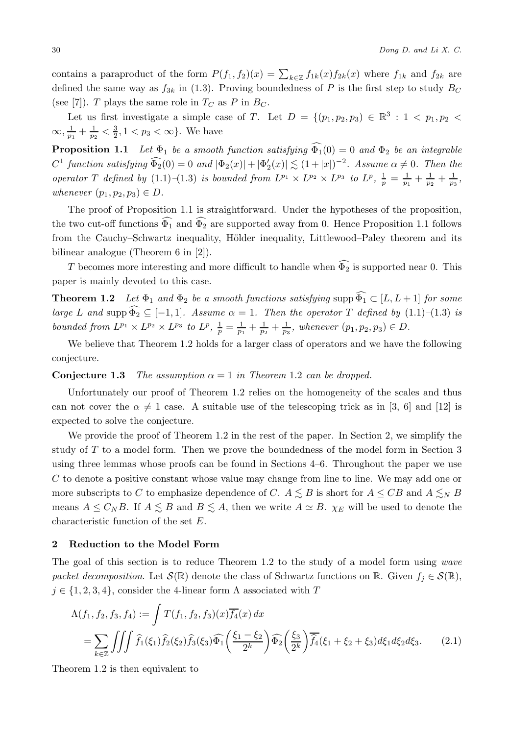contains a paraproduct of the form  $P(f_1, f_2)(x) = \sum_{k \in \mathbb{Z}} f_{1k}(x) f_{2k}(x)$  where  $f_{1k}$  and  $f_{2k}$  are defined the same way as  $f_{3k}$  in (1.3). Proving boundedness of P is the first step to study  $B_C$ (see [7]). T plays the same role in  $T_C$  as P in  $B_C$ .

Let us first investigate a simple case of T. Let  $D = \{(p_1, p_2, p_3) \in \mathbb{R}^3 : 1 < p_1, p_2 <$  $\infty, \frac{1}{p_1} + \frac{1}{p_2} < \frac{3}{2}, 1 < p_3 < \infty$ . We have

**Proposition 1.1** *Let*  $\Phi_1$  *be a smooth function satisfying*  $\Phi_1(0) = 0$  *and*  $\Phi_2$  *be an integrable*  $C^1$  *function satisfying*  $\Phi_2(0) = 0$  *and*  $|\Phi_2(x)| + |\Phi'_2(x)| \lesssim (1+|x|)^{-2}$ *. Assume*  $\alpha \neq 0$ *. Then the operator* T *defined by* (1.1)–(1.3) *is bounded from*  $L^{p_1} \times L^{p_2} \times L^{p_3}$  *to*  $L^p$ ,  $\frac{1}{p} = \frac{1}{p_1} + \frac{1}{p_2} + \frac{1}{p_3}$ , *whenever*  $(p_1, p_2, p_3) \in D$ .

The proof of Proposition 1.1 is straightforward. Under the hypotheses of the proposition, the two cut-off functions  $\Phi_1$  and  $\Phi_2$  are supported away from 0. Hence Proposition 1.1 follows from the Cauchy–Schwartz inequality, Hölder inequality, Littlewood–Paley theorem and its bilinear analogue (Theorem 6 in [2]).

T becomes more interesting and more difficult to handle when  $\Phi_2$  is supported near 0. This paper is mainly devoted to this case.

**Theorem 1.2** *Let*  $\Phi_1$  *and*  $\Phi_2$  *be a smooth functions satisfying* supp  $\Phi_1 \subset [L, L+1]$  *for some large* L and supp  $\Phi_2 \subseteq [-1, 1]$ *. Assume*  $\alpha = 1$ *. Then the operator* T *defined by*  $(1.1)$ *–*(1.3) *is bounded from*  $L^{p_1} \times L^{p_2} \times L^{p_3}$  *to*  $L^p$ ,  $\frac{1}{p} = \frac{1}{p_1} + \frac{1}{p_2} + \frac{1}{p_3}$ , whenever  $(p_1, p_2, p_3) \in D$ .

We believe that Theorem 1.2 holds for a larger class of operators and we have the following conjecture.

#### **Conjecture 1.3** *The assumption*  $\alpha = 1$  *in Theorem* 1.2 *can be dropped.*

Unfortunately our proof of Theorem 1.2 relies on the homogeneity of the scales and thus can not cover the  $\alpha \neq 1$  case. A suitable use of the telescoping trick as in [3, 6] and [12] is expected to solve the conjecture.

We provide the proof of Theorem 1.2 in the rest of the paper. In Section 2, we simplify the study of T to a model form. Then we prove the boundedness of the model form in Section 3 using three lemmas whose proofs can be found in Sections 4–6. Throughout the paper we use C to denote a positive constant whose value may change from line to line. We may add one or more subscripts to C to emphasize dependence of C.  $A \lesssim B$  is short for  $A \leq CB$  and  $A \lesssim_N B$ means  $A \leq C_N B$ . If  $A \lesssim B$  and  $B \lesssim A$ , then we write  $A \simeq B$ .  $\chi_E$  will be used to denote the characteristic function of the set E.

#### **2 Reduction to the Model Form**

The goal of this section is to reduce Theorem 1.2 to the study of a model form using *wave packet decomposition*. Let  $\mathcal{S}(\mathbb{R})$  denote the class of Schwartz functions on R. Given  $f_i \in \mathcal{S}(\mathbb{R})$ ,  $j \in \{1, 2, 3, 4\}$ , consider the 4-linear form  $\Lambda$  associated with T

$$
\Lambda(f_1, f_2, f_3, f_4) := \int T(f_1, f_2, f_3)(x) \overline{f_4}(x) dx
$$
  
= 
$$
\sum_{k \in \mathbb{Z}} \iiint \widehat{f_1}(\xi_1) \widehat{f_2}(\xi_2) \widehat{f_3}(\xi_3) \widehat{\Phi_1} \left( \frac{\xi_1 - \xi_2}{2^k} \right) \widehat{\Phi_2} \left( \frac{\xi_3}{2^k} \right) \overline{\widehat{f_4}}(\xi_1 + \xi_2 + \xi_3) d\xi_1 d\xi_2 d\xi_3.
$$
 (2.1)

Theorem 1.2 is then equivalent to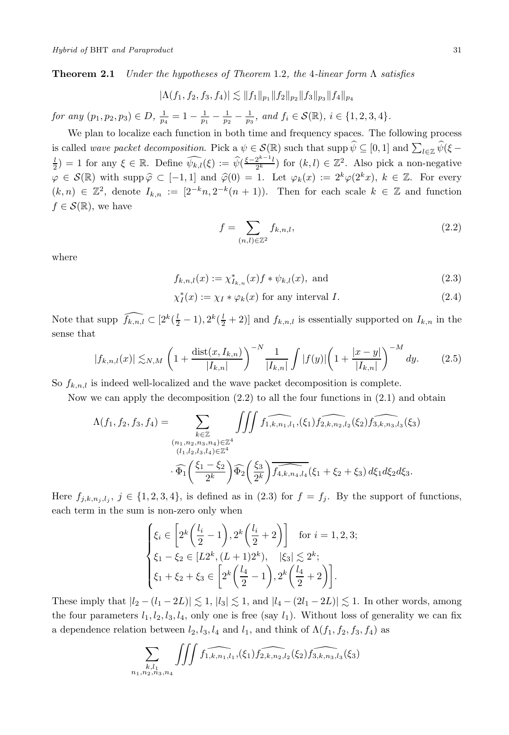**Theorem 2.1** *Under the hypotheses of Theorem* 1.2*, the* 4*-linear form* Λ *satisfies*

$$
|\Lambda(f_1, f_2, f_3, f_4)| \lesssim ||f_1||_{p_1} ||f_2||_{p_2} ||f_3||_{p_3} ||f_4||_{p_4}
$$

*for any*  $(p_1, p_2, p_3) \in D$ ,  $\frac{1}{p_4} = 1 - \frac{1}{p_1} - \frac{1}{p_2} - \frac{1}{p_3}$ , and  $f_i \in \mathcal{S}(\mathbb{R})$ ,  $i \in \{1, 2, 3, 4\}$ .

We plan to localize each function in both time and frequency spaces. The following process is called *wave packet decomposition*. Pick  $a \psi \in \mathcal{S}(\mathbb{R})$  such that  $\text{supp } \widetilde{\psi} \subseteq [0,1]$  and  $\sum_{l \in \mathbb{Z}} \widetilde{\psi}(\xi - l)$  $\frac{1}{2}$ ) = 1 for any  $\xi \in \mathbb{R}$ . Define  $\widehat{\psi_{k,l}}(\xi) := \widehat{\psi}(\frac{\xi - 2^{k-1}l}{2^k})$  for  $(k, l) \in \mathbb{Z}^2$ . Also pick a non-negative  $\varphi \in \mathcal{S}(\mathbb{R})$  with supp  $\widehat{\varphi} \subset [-1,1]$  and  $\widehat{\varphi}(0) = 1$ . Let  $\varphi_k(x) := 2^k \varphi(2^k x)$ ,  $k \in \mathbb{Z}$ . For every  $(k, n) \in \mathbb{Z}^2$ , denote  $I_{k,n} := [2^{-k}n, 2^{-k}(n+1))$ . Then for each scale  $k \in \mathbb{Z}$  and function  $f \in \mathcal{S}(\mathbb{R})$ , we have

$$
f = \sum_{(n,l)\in\mathbb{Z}^2} f_{k,n,l},\tag{2.2}
$$

where

$$
f_{k,n,l}(x) := \chi_{I_{k,n}}^*(x) f * \psi_{k,l}(x), \text{ and } (2.3)
$$

$$
\chi_I^*(x) := \chi_I * \varphi_k(x) \text{ for any interval } I. \tag{2.4}
$$

Note that supp  $\widehat{f_{k,n,l}} \subset [2^k(\frac{l}{2}-1), 2^k(\frac{l}{2}+2)]$  and  $f_{k,n,l}$  is essentially supported on  $I_{k,n}$  in the sense that

$$
|f_{k,n,l}(x)| \lesssim_{N,M} \left(1 + \frac{\text{dist}(x, I_{k,n})}{|I_{k,n}|}\right)^{-N} \frac{1}{|I_{k,n}|} \int |f(y)| \left(1 + \frac{|x-y|}{|I_{k,n}|}\right)^{-M} dy. \tag{2.5}
$$

So  $f_{k,n,l}$  is indeed well-localized and the wave packet decomposition is complete.

Now we can apply the decomposition (2.2) to all the four functions in (2.1) and obtain

$$
\Lambda(f_1, f_2, f_3, f_4) = \sum_{\substack{k \in \mathbb{Z} \\ (n_1, n_2, n_3, n_4) \in \mathbb{Z}^4 \\ (l_1, l_2, l_3, l_4) \in \mathbb{Z}^4}} \iiint f_1, \widehat{f_{1,k, n_1, l_1}}(\xi_1) \widehat{f_{2,k, n_2, l_2}}(\xi_2) \widehat{f_{3,k, n_3, l_3}}(\xi_3)
$$

$$
\cdot \widehat{\Phi}_1\left(\frac{\xi_1 - \xi_2}{2^k}\right) \widehat{\Phi}_2\left(\frac{\xi_3}{2^k}\right) \widehat{f_{4,k, n_4, l_4}}(\xi_1 + \xi_2 + \xi_3) d\xi_1 d\xi_2 d\xi_3.
$$

Here  $f_{j,k,n_j,l_j}$ ,  $j \in \{1,2,3,4\}$ , is defined as in (2.3) for  $f = f_j$ . By the support of functions, each term in the sum is non-zero only when

$$
\begin{cases} \xi_i \in \left[ 2^k \left( \frac{l_i}{2} - 1 \right), 2^k \left( \frac{l_i}{2} + 2 \right) \right] & \text{for } i = 1, 2, 3; \\ \xi_1 - \xi_2 \in [L2^k, (L+1)2^k), & |\xi_3| \lesssim 2^k; \\ \xi_1 + \xi_2 + \xi_3 \in \left[ 2^k \left( \frac{l_4}{2} - 1 \right), 2^k \left( \frac{l_4}{2} + 2 \right) \right]. \end{cases}
$$

These imply that  $|l_2 - (l_1 - 2L)| \lesssim 1$ ,  $|l_3| \lesssim 1$ , and  $|l_4 - (2l_1 - 2L)| \lesssim 1$ . In other words, among the four parameters  $l_1, l_2, l_3, l_4$ , only one is free (say  $l_1$ ). Without loss of generality we can fix a dependence relation between  $l_2$ ,  $l_3$ ,  $l_4$  and  $l_1$ , and think of  $\Lambda(f_1, f_2, f_3, f_4)$  as

$$
\sum_{\substack{k,l_1\\n_1,n_2,n_3,n_4}}\iiint f_{1,k,n_1,l_1}(\xi_1)f_{2,k,n_2,l_2}(\xi_2)f_{3,k,n_3,l_3}(\xi_3)
$$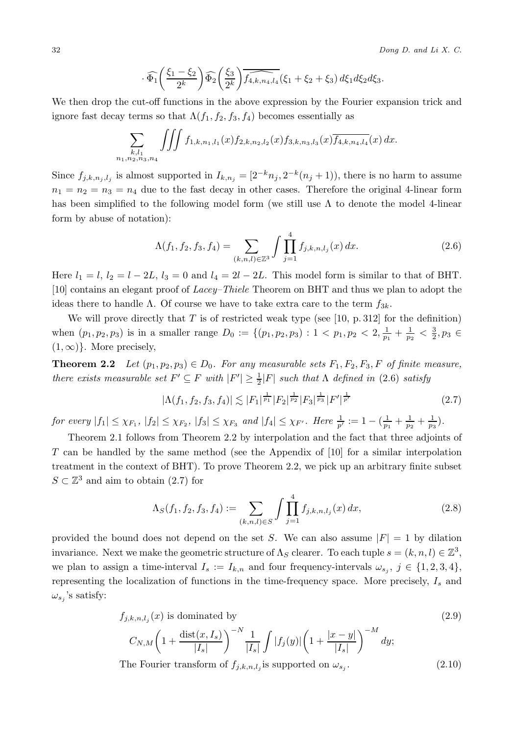$$
\cdot \widehat{\Phi_1}\left(\frac{\xi_1 - \xi_2}{2^k}\right) \widehat{\Phi_2}\left(\frac{\xi_3}{2^k}\right) \widehat{f_{4,k,n_4,l_4}}(\xi_1 + \xi_2 + \xi_3) d\xi_1 d\xi_2 d\xi_3.
$$

We then drop the cut-off functions in the above expression by the Fourier expansion trick and ignore fast decay terms so that  $\Lambda(f_1, f_2, f_3, f_4)$  becomes essentially as

$$
\sum_{\substack{k,l_1\\n_1,n_2,n_3,n_4}}\iiint f_{1,k,n_1,l_1}(x)f_{2,k,n_2,l_2}(x)f_{3,k,n_3,l_3}(x)\overline{f_{4,k,n_4,l_4}}(x) dx.
$$

Since  $f_{j,k,n_j,l_j}$  is almost supported in  $I_{k,n_j} = [2^{-k}n_j, 2^{-k}(n_j + 1))$ , there is no harm to assume  $n_1 = n_2 = n_3 = n_4$  due to the fast decay in other cases. Therefore the original 4-linear form has been simplified to the following model form (we still use  $\Lambda$  to denote the model 4-linear form by abuse of notation):

$$
\Lambda(f_1, f_2, f_3, f_4) = \sum_{(k,n,l) \in \mathbb{Z}^3} \int \prod_{j=1}^4 f_{j,k,n,l_j}(x) dx.
$$
 (2.6)

Here  $l_1 = l$ ,  $l_2 = l - 2L$ ,  $l_3 = 0$  and  $l_4 = 2l - 2L$ . This model form is similar to that of BHT. [10] contains an elegant proof of *Lacey–Thiele* Theorem on BHT and thus we plan to adopt the ideas there to handle Λ. Of course we have to take extra care to the term  $f_{3k}$ .

We will prove directly that  $T$  is of restricted weak type (see [10, p. 312] for the definition) when  $(p_1, p_2, p_3)$  is in a smaller range  $D_0 := \{(p_1, p_2, p_3): 1 < p_1, p_2 < 2, \frac{1}{p_1} + \frac{1}{p_2} < \frac{3}{2}, p_3 \in$  $(1,\infty)$ . More precisely,

**Theorem 2.2** *Let*  $(p_1, p_2, p_3) \in D_0$ *. For any measurable sets*  $F_1, F_2, F_3, F$  *of finite measure, there exists measurable set*  $F' \subseteq F$  *with*  $|F'| \geq \frac{1}{2}|F|$  *such that*  $\Lambda$  *defined in* (2.6) *satisfy* 

$$
|\Lambda(f_1, f_2, f_3, f_4)| \lesssim |F_1|^{\frac{1}{p_1}} |F_2|^{\frac{1}{p_2}} |F_3|^{\frac{1}{p_3}} |F'|^{\frac{1}{p'}} \tag{2.7}
$$

*for every*  $|f_1| \leq \chi_{F_1}$ ,  $|f_2| \leq \chi_{F_2}$ ,  $|f_3| \leq \chi_{F_3}$  *and*  $|f_4| \leq \chi_{F'}$ . *Here*  $\frac{1}{p'} := 1 - (\frac{1}{p_1} + \frac{1}{p_2} + \frac{1}{p_3})$ *.* 

Theorem 2.1 follows from Theorem 2.2 by interpolation and the fact that three adjoints of T can be handled by the same method (see the Appendix of [10] for a similar interpolation treatment in the context of BHT). To prove Theorem 2.2, we pick up an arbitrary finite subset  $S \subset \mathbb{Z}^3$  and aim to obtain (2.7) for

$$
\Lambda_S(f_1, f_2, f_3, f_4) := \sum_{(k,n,l)\in S} \int \prod_{j=1}^4 f_{j,k,n,l_j}(x) \, dx,\tag{2.8}
$$

provided the bound does not depend on the set S. We can also assume  $|F| = 1$  by dilation invariance. Next we make the geometric structure of  $\Lambda_S$  clearer. To each tuple  $s = (k, n, l) \in \mathbb{Z}^3$ , we plan to assign a time-interval  $I_s := I_{k,n}$  and four frequency-intervals  $\omega_{s_i}$ ,  $j \in \{1, 2, 3, 4\}$ , representing the localization of functions in the time-frequency space. More precisely,  $I_s$  and  $\omega_{s_i}$ 's satisfy:

$$
f_{j,k,n,l_j}(x) \text{ is dominated by}
$$
\n
$$
C_{N,M} \left( 1 + \frac{\text{dist}(x, I_s)}{|I_s|} \right)^{-N} \frac{1}{|I_s|} \int |f_j(y)| \left( 1 + \frac{|x - y|}{|I_s|} \right)^{-M} dy;
$$
\n
$$
|f_s| \leq C_{N,M} \left( 1 + \frac{|f_s|}{|I_s|} \right)^{-M} dy;
$$
\n
$$
|f_s| \leq C_{N,M} \left( 1 + \frac{|f_s|}{|I_s|} \right)^{-M} dy;
$$
\n
$$
|f_s| \leq C_{N,M} \left( 1 + \frac{|f_s|}{|I_s|} \right)^{-M} dy;
$$
\n
$$
|f_s| \leq C_{N,M} \left( 1 + \frac{|f_s|}{|I_s|} \right)^{-M} dy;
$$
\n
$$
|f_s| \leq C_{N,M} \left( 1 + \frac{|f_s|}{|I_s|} \right)^{-M} dy;
$$
\n
$$
|f_s| \leq C_{N,M} \left( 1 + \frac{|f_s|}{|I_s|} \right)^{-M} dy;
$$
\n
$$
|f_s| \leq C_{N,M} \left( 1 + \frac{|f_s|}{|I_s|} \right)^{-M} dy;
$$
\n
$$
|f_s| \leq C_{N,M} \left( 1 + \frac{|f_s|}{|I_s|} \right)^{-M} dy;
$$
\n
$$
|f_s| \leq C_{N,M} \left( 1 + \frac{|f_s|}{|I_s|} \right)^{-M} dy;
$$
\n
$$
|f_s| \leq C_{N,M} \left( 1 + \frac{|f_s|}{|I_s|} \right)^{-M} dy;
$$
\n
$$
|f_s| \leq C_{N,M} \left( 1 + \frac{|f_s|}{|I_s|} \right)^{-M} dy;
$$
\n
$$
|f_s| \leq C_{N,M} \left( 1 + \frac{|f_s|}{|I_s|} \right)^{-M} dy;
$$
\n
$$
|f_s| \leq C_{N,M} \left( 1 + \frac{|f_s|}{|I_s|} \right)^{-M} dy;
$$
\n
$$
|f_s| \leq C_{N,M} \left( 1 + \frac{|f_s|}{|I_s|} \right)^{-M
$$

The Fourier transform of  $f_{j,k,n,l,j}$  is supported on  $\omega_{s,j}$ . (2.10)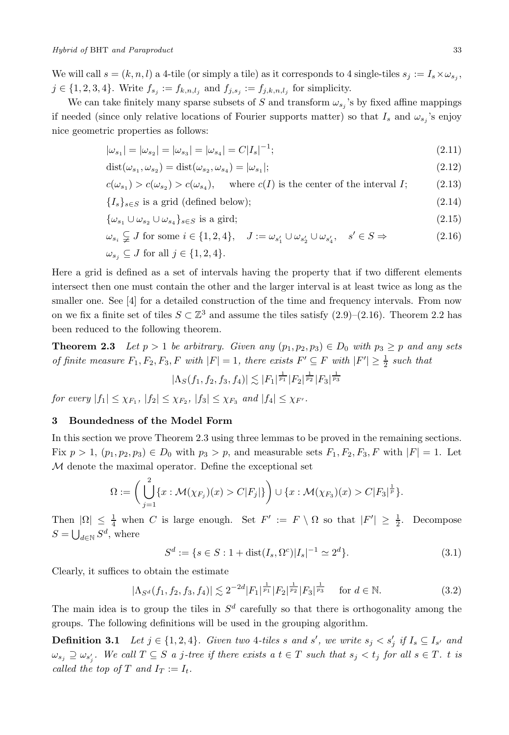We will call  $s = (k, n, l)$  a 4-tile (or simply a tile) as it corresponds to 4 single-tiles  $s_j := I_s \times \omega_{s_j}$ , *j* ∈ {1, 2, 3, 4}. Write  $f_{s_j} := f_{k,n,l_j}$  and  $f_{j,s_j} := f_{j,k,n,l_j}$  for simplicity.

We can take finitely many sparse subsets of S and transform  $\omega_{s_j}$ 's by fixed affine mappings if needed (since only relative locations of Fourier supports matter) so that  $I_s$  and  $\omega_{s_j}$ 's enjoy nice geometric properties as follows:

$$
|\omega_{s_1}| = |\omega_{s_2}| = |\omega_{s_3}| = |\omega_{s_4}| = C|I_s|^{-1};\tag{2.11}
$$

$$
dist(\omega_{s_1}, \omega_{s_2}) = dist(\omega_{s_2}, \omega_{s_4}) = |\omega_{s_1}|;
$$
\n(2.12)

$$
c(\omega_{s_1}) > c(\omega_{s_2}) > c(\omega_{s_4}), \quad \text{where } c(I) \text{ is the center of the interval } I; \tag{2.13}
$$

$$
\{I_s\}_{s \in S} \text{ is a grid (defined below)};
$$
\n
$$
(2.14)
$$

$$
\{\omega_{s_1} \cup \omega_{s_2} \cup \omega_{s_4}\}_{s \in S} \text{ is a grid};\tag{2.15}
$$

$$
\omega_{s_i} \subsetneq J \text{ for some } i \in \{1, 2, 4\}, \quad J := \omega_{s_1'} \cup \omega_{s_2'} \cup \omega_{s_4'}, \quad s' \in S \Rightarrow
$$
\n
$$
\omega_{s_j} \subseteq J \text{ for all } j \in \{1, 2, 4\}.
$$
\n(2.16)

Here a grid is defined as a set of intervals having the property that if two different elements intersect then one must contain the other and the larger interval is at least twice as long as the smaller one. See [4] for a detailed construction of the time and frequency intervals. From now on we fix a finite set of tiles  $S \subset \mathbb{Z}^3$  and assume the tiles satisfy  $(2.9)$ – $(2.16)$ . Theorem 2.2 has been reduced to the following theorem.

**Theorem 2.3** *Let*  $p > 1$  *be arbitrary. Given any*  $(p_1, p_2, p_3) \in D_0$  *with*  $p_3 \geq p$  *and any sets of finite measure*  $F_1, F_2, F_3, F$  *with*  $|F| = 1$ *, there exists*  $F' \subseteq F$  *with*  $|F'| \geq \frac{1}{2}$  *such that* 

$$
|\Lambda_S(f_1, f_2, f_3, f_4)| \lesssim |F_1|^{\frac{1}{p_1}} |F_2|^{\frac{1}{p_2}} |F_3|^{\frac{1}{p_3}}
$$

*for every*  $|f_1| \leq \chi_{F_1}$ ,  $|f_2| \leq \chi_{F_2}$ ,  $|f_3| \leq \chi_{F_3}$  *and*  $|f_4| \leq \chi_{F'}$ .

### **3 Boundedness of the Model Form**

In this section we prove Theorem 2.3 using three lemmas to be proved in the remaining sections. Fix  $p > 1$ ,  $(p_1, p_2, p_3) \in D_0$  with  $p_3 > p$ , and measurable sets  $F_1, F_2, F_3, F$  with  $|F| = 1$ . Let M denote the maximal operator. Define the exceptional set

$$
\Omega := \left( \bigcup_{j=1}^{2} \{x : \mathcal{M}(\chi_{F_j})(x) > C|F_j|\} \right) \cup \{x : \mathcal{M}(\chi_{F_3})(x) > C|F_3|^{\frac{1}{p}}\}.
$$

Then  $|\Omega| \leq \frac{1}{4}$  when C is large enough. Set  $F' := F \setminus \Omega$  so that  $|F'| \geq \frac{1}{2}$ . Decompose  $S = \bigcup_{d \in \mathbb{N}} S^d$ , where

$$
S^d := \{ s \in S : 1 + \text{dist}(I_s, \Omega^c) |I_s|^{-1} \simeq 2^d \}. \tag{3.1}
$$

Clearly, it suffices to obtain the estimate

$$
|\Lambda_{S^d}(f_1, f_2, f_3, f_4)| \lesssim 2^{-2d} |F_1|^{\frac{1}{p_1}} |F_2|^{\frac{1}{p_2}} |F_3|^{\frac{1}{p_3}} \quad \text{for } d \in \mathbb{N}.
$$
 (3.2)

The main idea is to group the tiles in  $S<sup>d</sup>$  carefully so that there is orthogonality among the groups. The following definitions will be used in the grouping algorithm.

**Definition 3.1** *Let*  $j \in \{1, 2, 4\}$ *. Given two* 4*-tiles* s and s', we write  $s_j < s'_j$  if  $I_s \subseteq I_{s'}$  and  $\omega_{s_j} \supseteq \omega_{s'_j}$ . We call  $T \subseteq S$  a j-tree if there exists a  $t \in T$  such that  $s_j < t_j$  for all  $s \in T$ . t is *called the top of* T *and*  $I_T := I_t$ .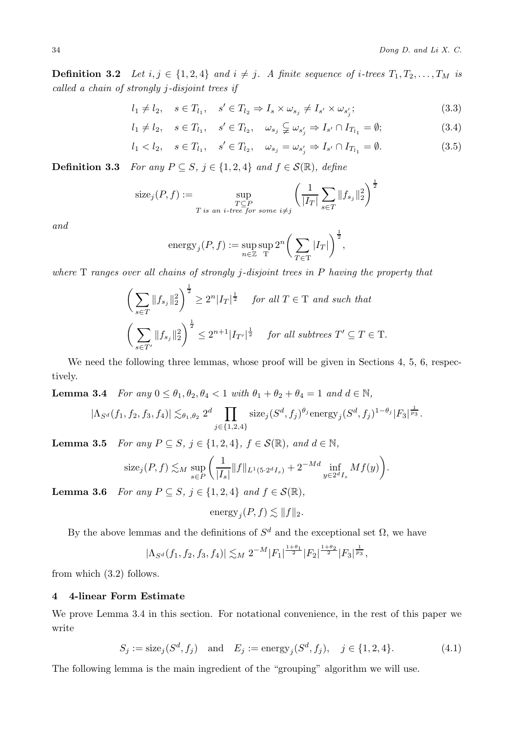$\sim$  1

**Definition 3.2** *Let*  $i, j \in \{1, 2, 4\}$  *and*  $i \neq j$ *. A finite sequence of i-trees*  $T_1, T_2, \ldots, T_M$  *is called a chain of strongly* j*-disjoint trees if*

$$
l_1 \neq l_2, \quad s \in T_{l_1}, \quad s' \in T_{l_2} \Rightarrow I_s \times \omega_{s_j} \neq I_{s'} \times \omega_{s'_j};
$$
\n
$$
(3.3)
$$

$$
l_1 \neq l_2, \quad s \in T_{l_1}, \quad s' \in T_{l_2}, \quad \omega_{s_j} \subsetneqq \omega_{s'_j} \Rightarrow I_{s'} \cap I_{T_{l_1}} = \emptyset; \tag{3.4}
$$

$$
l_1 < l_2, \quad s \in T_{l_1}, \quad s' \in T_{l_2}, \quad \omega_{s_j} = \omega_{s'_j} \Rightarrow I_{s'} \cap I_{T_{l_1}} = \emptyset.
$$
 (3.5)

**Definition 3.3** *For any*  $P \subseteq S$ ,  $j \in \{1, 2, 4\}$  *and*  $f \in \mathcal{S}(\mathbb{R})$ *, define* 

$$
\operatorname{size}_j(P, f) := \sup_{\substack{T \subseteq P \\ T \text{ is an } i \text{-tree for some } i \neq j}} \left( \frac{1}{|I_T|} \sum_{s \in T} ||f_{s_j}||_2^2 \right)^{\frac{1}{2}}
$$

*and*

$$
\text{energy}_j(P, f) := \sup_{n \in \mathbb{Z}} \sup_{\mathcal{T}} 2^n \bigg( \sum_{T \in \mathcal{T}} |I_T| \bigg)^{\frac{1}{2}},
$$

*where* T *ranges over all chains of strongly* j*-disjoint trees in* P *having the property that*

$$
\left(\sum_{s\in T}||f_{s_j}||_2^2\right)^{\frac{1}{2}} \ge 2^n|I_T|^{\frac{1}{2}} \text{ for all } T \in T \text{ and such that}
$$

$$
\left(\sum_{s\in T'}||f_{s_j}||_2^2\right)^{\frac{1}{2}} \le 2^{n+1}|I_{T'}|^{\frac{1}{2}} \text{ for all subtrees } T' \subseteq T \in T.
$$

We need the following three lemmas, whose proof will be given in Sections 4, 5, 6, respectively.

**Lemma 3.4** *For any*  $0 \leq \theta_1, \theta_2, \theta_4 < 1$  *with*  $\theta_1 + \theta_2 + \theta_4 = 1$  *and*  $d \in \mathbb{N}$ *,* 

$$
|\Lambda_{S^d}(f_1, f_2, f_3, f_4)| \lesssim_{\theta_1, \theta_2} 2^d \prod_{j \in \{1, 2, 4\}} \text{size}_j(S^d, f_j)^{\theta_j} \text{energy}_j(S^d, f_j)^{1-\theta_j} |F_3|^{\frac{1}{p_3}}.
$$

**Lemma 3.5** *For any*  $P \subseteq S$ *,*  $j \in \{1, 2, 4\}$ *,*  $f \in \mathcal{S}(\mathbb{R})$ *, and*  $d \in \mathbb{N}$ *,* 

$$
\mathrm{size}_j(P, f) \lesssim_M \sup_{s \in P} \left( \frac{1}{|I_s|} \|f\|_{L^1(5 \cdot 2^d I_s)} + 2^{-Md} \inf_{y \in 2^d I_s} Mf(y) \right).
$$

**Lemma 3.6** *For any*  $P \subseteq S$ *,*  $j \in \{1, 2, 4\}$  *and*  $f \in \mathcal{S}(\mathbb{R})$ *,* 

energy
$$
j(P, f) \lesssim ||f||_2.
$$

By the above lemmas and the definitions of  $S^d$  and the exceptional set  $\Omega$ , we have

$$
|\Lambda_{S^d}(f_1, f_2, f_3, f_4)| \lesssim_M 2^{-M} |F_1|^{\frac{1+\theta_1}{2}} |F_2|^{\frac{1+\theta_2}{2}} |F_3|^{\frac{1}{p_3}},
$$

from which (3.2) follows.

## **4 4-linear Form Estimate**

We prove Lemma 3.4 in this section. For notational convenience, in the rest of this paper we write

$$
S_j := \text{size}_j(S^d, f_j) \quad \text{and} \quad E_j := \text{energy}_j(S^d, f_j), \quad j \in \{1, 2, 4\}. \tag{4.1}
$$

The following lemma is the main ingredient of the "grouping" algorithm we will use.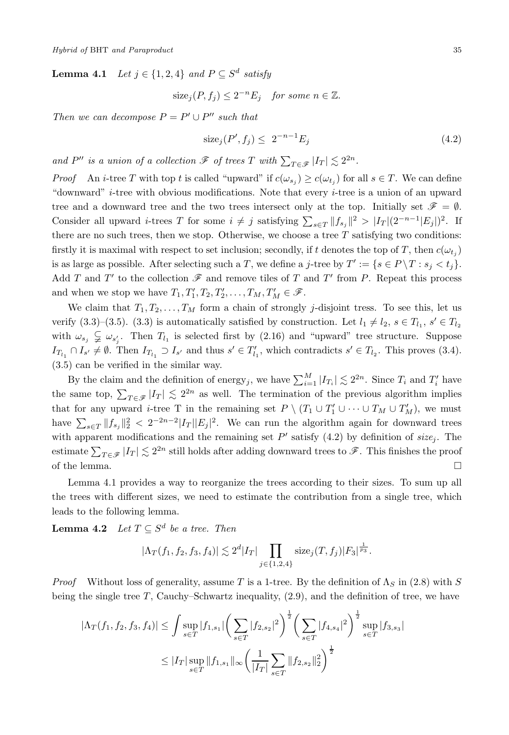**Lemma 4.1** *Let*  $j \in \{1, 2, 4\}$  *and*  $P \subset S^d$  *satisfy* 

$$
size_j(P, f_j) \le 2^{-n} E_j \quad \text{for some } n \in \mathbb{Z}.
$$

*Then we can decompose*  $P = P' \cup P''$  *such that* 

$$
\text{size}_j(P', f_j) \le 2^{-n-1} E_j \tag{4.2}
$$

*and*  $P''$  *is a union of a collection*  $\mathscr F$  *of trees*  $T$  *with*  $\sum_{T \in \mathscr F} |I_T| \lesssim 2^{2n}$ .

*Proof* An *i*-tree T with top t is called "upward" if  $c(\omega_{s_i}) \geq c(\omega_{t_i})$  for all  $s \in T$ . We can define "downward" i-tree with obvious modifications. Note that every i-tree is a union of an upward tree and a downward tree and the two trees intersect only at the top. Initially set  $\mathscr{F} = \emptyset$ . Consider all upward *i*-trees T for some  $i \neq j$  satisfying  $\sum_{s \in T} ||f_{s_j}||^2 > |I_T|(2^{-n-1}|E_j|)^2$ . If there are no such trees, then we stop. Otherwise, we choose a tree  $T$  satisfying two conditions: firstly it is maximal with respect to set inclusion; secondly, if t denotes the top of T, then  $c(\omega_{t_i})$ is as large as possible. After selecting such a T, we define a j-tree by  $T' := \{s \in P \setminus T : s_i < t_i\}.$ Add T and T' to the collection  $\mathscr F$  and remove tiles of T and T' from P. Repeat this process and when we stop we have  $T_1, T_1', T_2, T_2', \ldots, T_M, T_M' \in \mathcal{F}$ .

We claim that  $T_1, T_2, \ldots, T_M$  form a chain of strongly j-disjoint tress. To see this, let us verify (3.3)–(3.5). (3.3) is automatically satisfied by construction. Let  $l_1 \neq l_2$ ,  $s \in T_{l_1}$ ,  $s' \in T_{l_2}$ with  $\omega_{s_j} \subsetneq \omega_{s'_j}$ . Then  $T_{l_1}$  is selected first by (2.16) and "upward" tree structure. Suppose  $I_{T_{l_1}} \cap I_{s'} \neq \emptyset$ . Then  $I_{T_{l_1}} \supset I_{s'}$  and thus  $s' \in T'_{l_1}$ , which contradicts  $s' \in T_{l_2}$ . This proves (3.4). (3.5) can be verified in the similar way.

By the claim and the definition of energy<sub>j</sub>, we have  $\sum_{i=1}^{M} |I_{T_i}| \lesssim 2^{2n}$ . Since  $T_i$  and  $T'_i$  have the same top,  $\sum_{T \in \mathscr{F}} |I_T| \leq 2^{2n}$  as well. The termination of the previous algorithm implies that for any upward *i*-tree T in the remaining set  $P \setminus (T_1 \cup T_1' \cup \cdots \cup T_M \cup T_M')$ , we must have  $\sum_{s\in T} ||f_{s_j}||_2^2 < 2^{-2n-2}|I_T||E_j|^2$ . We can run the algorithm again for downward trees with apparent modifications and the remaining set  $P'$  satisfy (4.2) by definition of  $size_j$ . The estimate  $\sum_{T \in \mathscr{F}} |I_T| \lesssim 2^{2n}$  still holds after adding downward trees to  $\mathscr{F}$ . This finishes the proof of the lemma.  $\hfill \square$ 

Lemma 4.1 provides a way to reorganize the trees according to their sizes. To sum up all the trees with different sizes, we need to estimate the contribution from a single tree, which leads to the following lemma.

**Lemma 4.2** *Let*  $T \subseteq S^d$  *be a tree. Then* 

$$
|\Lambda_T(f_1, f_2, f_3, f_4)| \lesssim 2^d |I_T| \prod_{j \in \{1, 2, 4\}} \text{size}_j(T, f_j)|F_3|^{\frac{1}{p_3}}.
$$

*Proof* Without loss of generality, assume T is a 1-tree. By the definition of  $\Lambda_S$  in (2.8) with S being the single tree  $T$ , Cauchy–Schwartz inequality,  $(2.9)$ , and the definition of tree, we have

$$
|\Lambda_T(f_1, f_2, f_3, f_4)| \leq \int \sup_{s \in T} |f_{1,s_1}| \left(\sum_{s \in T} |f_{2,s_2}|^2\right)^{\frac{1}{2}} \left(\sum_{s \in T} |f_{4,s_4}|^2\right)^{\frac{1}{2}} \sup_{s \in T} |f_{3,s_3}|
$$
  

$$
\leq |I_T| \sup_{s \in T} \|f_{1,s_1}\|_{\infty} \left(\frac{1}{|I_T|} \sum_{s \in T} \|f_{2,s_2}\|_2^2\right)^{\frac{1}{2}}
$$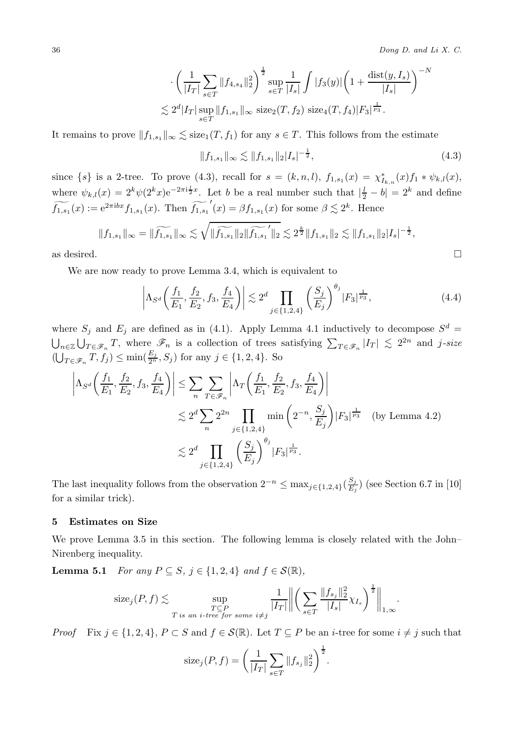36 *Dong D. and Li X. C.*

$$
\cdot \left( \frac{1}{|I_T|} \sum_{s \in T} ||f_{4,s_4}||_2^2 \right)^{\frac{1}{2}} \sup_{s \in T} \frac{1}{|I_s|} \int |f_3(y)| \left( 1 + \frac{\text{dist}(y, I_s)}{|I_s|} \right)^{-N}
$$
  

$$
\lesssim 2^d |I_T| \sup_{s \in T} ||f_{1,s_1}||_{\infty} \text{ size}_2(T, f_2) \text{ size}_4(T, f_4) |F_3|^{\frac{1}{p_3}}.
$$

It remains to prove  $||f_{1,s_1}||_{\infty} \lesssim \text{size}_1(T, f_1)$  for any  $s \in T$ . This follows from the estimate

$$
||f_{1,s_1}||_{\infty} \lesssim ||f_{1,s_1}||_2 |I_s|^{-\frac{1}{2}}, \tag{4.3}
$$

since  $\{s\}$  is a 2-tree. To prove (4.3), recall for  $s = (k, n, l)$ ,  $f_{1, s_1}(x) = \chi^*_{I_{k,n}}(x) f_1 * \psi_{k,l}(x)$ , where  $\psi_{k,l}(x)=2^k\psi(2^kx)e^{-2\pi i \frac{l}{2}x}$ . Let b be a real number such that  $|\frac{l}{2}-b|=2^k$  and define  $\widetilde{f_{1,s_1}}(x) := e^{2\pi i bx} f_{1,s_1}(x)$ . Then  $\widetilde{f_{1,s_1}}(x) = \beta f_{1,s_1}(x)$  for some  $\beta \lesssim 2^k$ . Hence

$$
||f_{1,s_1}||_{\infty} = ||\widetilde{f_{1,s_1}}||_{\infty} \lesssim \sqrt{||\widetilde{f_{1,s_1}}||_2 ||\widetilde{f_{1,s_1}}||_2} \lesssim 2^{\frac{k}{2}} ||f_{1,s_1}||_2 \lesssim ||f_{1,s_1}||_2 |I_s|^{-\frac{1}{2}},
$$

as desired.

We are now ready to prove Lemma 3.4, which is equivalent to

$$
\left| \Lambda_{S^d} \left( \frac{f_1}{E_1}, \frac{f_2}{E_2}, f_3, \frac{f_4}{E_4} \right) \right| \lesssim 2^d \prod_{j \in \{1, 2, 4\}} \left( \frac{S_j}{E_j} \right)^{\theta_j} |F_3|^{\frac{1}{p_3}},\tag{4.4}
$$

where  $S_j$  and  $E_j$  are defined as in (4.1). Apply Lemma 4.1 inductively to decompose  $S^d$  =  $\bigcup_{n\in\mathbb{Z}}\bigcup_{T\in\mathscr{F}_n}T$ , where  $\mathscr{F}_n$  is a collection of trees satisfying  $\sum_{T\in\mathscr{F}_n}|I_T|\leq 2^{2n}$  and j-size  $(\bigcup_{T \in \mathscr{F}_n} T, f_j) \le \min(\frac{E_j}{2^n}, S_j)$  for any  $j \in \{1, 2, 4\}$ . So

$$
\left| \Lambda_{S^d} \left( \frac{f_1}{E_1}, \frac{f_2}{E_2}, f_3, \frac{f_4}{E_4} \right) \right| \le \sum_n \sum_{T \in \mathscr{F}_n} \left| \Lambda_T \left( \frac{f_1}{E_1}, \frac{f_2}{E_2}, f_3, \frac{f_4}{E_4} \right) \right|
$$
  

$$
\lesssim 2^d \sum_n 2^{2n} \prod_{j \in \{1, 2, 4\}} \min \left( 2^{-n}, \frac{S_j}{E_j} \right) |F_3|^{\frac{1}{p_3}} \quad \text{(by Lemma 4.2)}
$$
  

$$
\lesssim 2^d \prod_{j \in \{1, 2, 4\}} \left( \frac{S_j}{E_j} \right)^{\theta_j} |F_3|^{\frac{1}{p_3}}.
$$

The last inequality follows from the observation  $2^{-n} \leq \max_{j \in \{1,2,4\}} \left(\frac{S_j}{E_j}\right)$  (see Section 6.7 in [10] for a similar trick).

#### **5 Estimates on Size**

We prove Lemma 3.5 in this section. The following lemma is closely related with the John– Nirenberg inequality.

**Lemma 5.1** *For any*  $P \subseteq S$ ,  $j \in \{1, 2, 4\}$  *and*  $f \in \mathcal{S}(\mathbb{R})$ *,* 

size<sub>j</sub>(P, f) 
$$
\lesssim \sup_{\substack{T \subseteq P \\ T \text{ is an } i\text{-tree for some } i \neq j}} \frac{1}{|I_T|} \left\| \left( \sum_{s \in T} \frac{\|f_{s_j}\|_2^2}{|I_s|} \chi_{I_s} \right)^{\frac{1}{2}} \right\|_{1,\infty}.
$$

*Proof* Fix  $j \in \{1, 2, 4\}$ ,  $P \subset S$  and  $f \in \mathcal{S}(\mathbb{R})$ . Let  $T \subseteq P$  be an *i*-tree for some  $i \neq j$  such that

size<sub>j</sub>(P, f) = 
$$
\left(\frac{1}{|I_T|}\sum_{s \in T} ||f_{s_j}||_2^2\right)^{\frac{1}{2}}
$$
.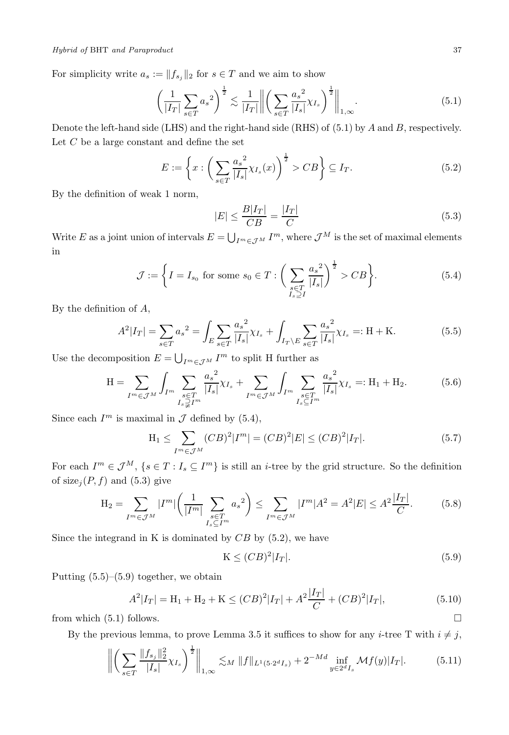For simplicity write  $a_s := ||f_{s_j}||_2$  for  $s \in T$  and we aim to show

$$
\left(\frac{1}{|I_T|}\sum_{s\in T}a_s^2\right)^{\frac{1}{2}} \lesssim \frac{1}{|I_T|} \left\| \left(\sum_{s\in T} \frac{a_s^2}{|I_s|} \chi_{I_s}\right)^{\frac{1}{2}} \right\|_{1,\infty}.
$$
\n
$$
(5.1)
$$

Denote the left-hand side (LHS) and the right-hand side (RHS) of (5.1) by A and B, respectively. Let  $C$  be a large constant and define the set

$$
E := \left\{ x : \left( \sum_{s \in T} \frac{a_s^2}{|I_s|} \chi_{I_s}(x) \right)^{\frac{1}{2}} > CB \right\} \subseteq I_T. \tag{5.2}
$$

By the definition of weak 1 norm,

$$
|E| \le \frac{B|I_T|}{CB} = \frac{|I_T|}{C} \tag{5.3}
$$

Write E as a joint union of intervals  $E = \bigcup_{I^m \in \mathcal{J}^M} I^m$ , where  $\mathcal{J}^M$  is the set of maximal elements in

$$
\mathcal{J} := \left\{ I = I_{s_0} \text{ for some } s_0 \in T : \left( \sum_{\substack{s \in T \\ I_s \supseteq I}} \frac{a_s^2}{|I_s|} \right)^{\frac{1}{2}} > CB \right\}.
$$
 (5.4)

By the definition of A,

$$
A^{2}|I_{T}| = \sum_{s \in T} a_{s}^{2} = \int_{E} \sum_{s \in T} \frac{a_{s}^{2}}{|I_{s}|} \chi_{I_{s}} + \int_{I_{T} \setminus E} \sum_{s \in T} \frac{a_{s}^{2}}{|I_{s}|} \chi_{I_{s}} =: \mathcal{H} + \mathcal{K}.
$$
 (5.5)

Use the decomposition  $E = \bigcup_{I^m \in \mathcal{J}^M} I^m$  to split H further as

$$
H = \sum_{I^m \in \mathcal{J}^M} \int_{I^m} \sum_{\substack{s \in T \\ I_s \supsetneq I^m}} \frac{{a_s}^2}{|I_s|} \chi_{I_s} + \sum_{I^m \in \mathcal{J}^M} \int_{I^m} \sum_{\substack{s \in T \\ I_s \subseteq I^m}} \frac{{a_s}^2}{|I_s|} \chi_{I_s} =: H_1 + H_2. \tag{5.6}
$$

Since each  $I^m$  is maximal in  $\mathcal J$  defined by (5.4),

$$
H_1 \le \sum_{I^m \in \mathcal{J}^M} (CB)^2 |I^m| = (CB)^2 |E| \le (CB)^2 |I_T|.
$$
 (5.7)

For each  $I^m \in \mathcal{J}^M$ ,  $\{s \in T : I_s \subseteq I^m\}$  is still an *i*-tree by the grid structure. So the definition of  $size_j(P, f)$  and (5.3) give

$$
H_2 = \sum_{I^m \in \mathcal{J}^M} |I^m| \left( \frac{1}{|I^m|} \sum_{\substack{s \in T_m \\ I_s \subseteq I^m}} a_s^2 \right) \le \sum_{I^m \in \mathcal{J}^M} |I^m| A^2 = A^2 |E| \le A^2 \frac{|I_T|}{C}.
$$
 (5.8)

Since the integrand in K is dominated by  $CB$  by  $(5.2)$ , we have

$$
K \le (CB)^2 |I_T|.\tag{5.9}
$$

Putting  $(5.5)$ – $(5.9)$  together, we obtain

$$
A^{2}|I_{T}| = \mathcal{H}_{1} + \mathcal{H}_{2} + \mathcal{K} \le (CB)^{2}|I_{T}| + A^{2}\frac{|I_{T}|}{C} + (CB)^{2}|I_{T}|,
$$
\n(5.10)

from which  $(5.1)$  follows.

By the previous lemma, to prove Lemma 3.5 it suffices to show for any *i*-tree T with  $i \neq j$ ,

$$
\left\| \left( \sum_{s \in T} \frac{\|f_{s_j}\|_2^2}{|I_s|} \chi_{I_s} \right)^{\frac{1}{2}} \right\|_{1,\infty} \lesssim_M \|f\|_{L^1(5 \cdot 2^d I_s)} + 2^{-Md} \inf_{y \in 2^d I_s} \mathcal{M}f(y)|I_T|. \tag{5.11}
$$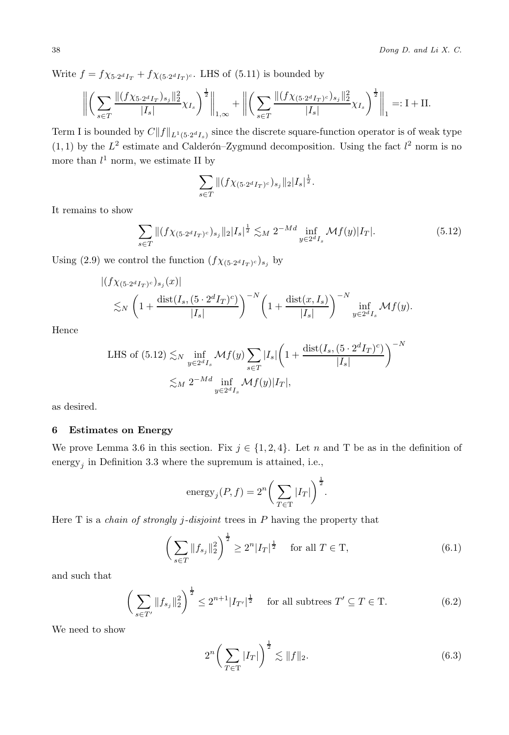38 *Dong D. and Li X. C.*

Write  $f = f \chi_{5 \cdot 2^d I_T} + f \chi_{(5 \cdot 2^d I_T)^c}$ . LHS of (5.11) is bounded by

$$
\left\| \left( \sum_{s \in T} \frac{\|(f \chi_{5 \cdot 2^d I_T})_{s_j} \|_2^2}{|I_s|} \chi_{I_s} \right)^{\frac{1}{2}} \right\|_{1,\infty} + \left\| \left( \sum_{s \in T} \frac{\|(f \chi_{(5 \cdot 2^d I_T)^c})_{s_j} \|_2^2}{|I_s|} \chi_{I_s} \right)^{\frac{1}{2}} \right\|_1 =: \mathbf{I} + \mathbf{II}.
$$

Term I is bounded by  $C||f||_{L^1(5.2^dI_s)}$  since the discrete square-function operator is of weak type  $(1, 1)$  by the  $L^2$  estimate and Calderón–Zygmund decomposition. Using the fact  $l^2$  norm is no more than  $l^1$  norm, we estimate II by

$$
\sum_{s \in T} \| (f \chi_{(5 \cdot 2^d I_T)^c})_{s_j} \|_2 |I_s|^{\frac{1}{2}}.
$$

It remains to show

$$
\sum_{s \in T} \| (f \chi_{(5 \cdot 2^d I_T)^c})_{s_j} \|_2 |I_s|^{\frac{1}{2}} \lesssim_M 2^{-Md} \inf_{y \in 2^d I_s} \mathcal{M} f(y) |I_T|.
$$
 (5.12)

Using (2.9) we control the function  $(f\chi_{(5\cdot 2^d I_T)^c})_{s_i}$  by

$$
\left| \left( f \chi_{(5 \cdot 2^{d} I_T)^c} \right)_{s_j}(x) \right|
$$
  
\$\lesssim\_N \left( 1 + \frac{\text{dist}(I\_s, (5 \cdot 2^{d} I\_T)^c)}{|I\_s|} \right)^{-N} \left( 1 + \frac{\text{dist}(x, I\_s)}{|I\_s|} \right)^{-N} \inf\_{y \in 2^{d} I\_s} \mathcal{M} f(y).

Hence

LHS of (5.12) 
$$
\lesssim_N \inf_{y \in 2^d I_s} \mathcal{M}f(y) \sum_{s \in T} |I_s| \left( 1 + \frac{\text{dist}(I_s, (5 \cdot 2^d I_T)^c)}{|I_s|} \right)^{-N}
$$
  
 $\lesssim_M 2^{-Md} \inf_{y \in 2^d I_s} \mathcal{M}f(y)|I_T|,$ 

as desired.

## **6 Estimates on Energy**

We prove Lemma 3.6 in this section. Fix  $j \in \{1, 2, 4\}$ . Let n and T be as in the definition of energy<sub>j</sub> in Definition 3.3 where the supremum is attained, i.e.,

energy<sub>j</sub>
$$
(P, f) = 2^n \left( \sum_{T \in \mathcal{T}} |I_T| \right)^{\frac{1}{2}}
$$
.

Here T is a *chain of strongly* j*-disjoint* trees in P having the property that

$$
\left(\sum_{s\in T}||f_{s_j}||_2^2\right)^{\frac{1}{2}} \ge 2^n|I_T|^{\frac{1}{2}} \quad \text{ for all } T \in T,
$$
\n(6.1)

and such that

$$
\left(\sum_{s \in T'} \|f_{s_j}\|_{2}^2\right)^{\frac{1}{2}} \le 2^{n+1} |I_{T'}|^{\frac{1}{2}} \quad \text{ for all subtrees } T' \subseteq T \in T. \tag{6.2}
$$

We need to show

$$
2^{n} \left( \sum_{T \in \mathcal{T}} |I_{T}| \right)^{\frac{1}{2}} \lesssim \| f \|_{2}.
$$
 (6.3)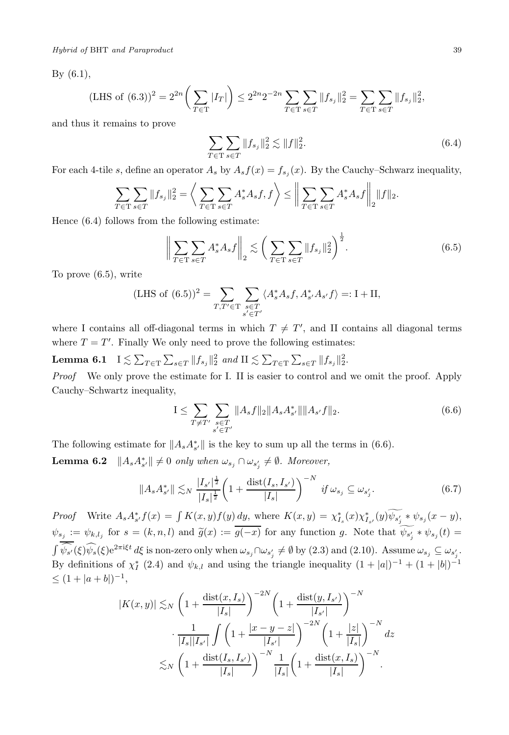*Hybrid of* BHT *and Paraproduct* 39

By (6.1),

(LHS of (6.3))<sup>2</sup> = 
$$
2^{2n} \left( \sum_{T \in \mathcal{T}} |I_T| \right) \leq 2^{2n} 2^{-2n} \sum_{T \in \mathcal{T}} \sum_{s \in T} ||f_{s_j}||_2^2 = \sum_{T \in \mathcal{T}} \sum_{s \in T} ||f_{s_j}||_2^2
$$
,

and thus it remains to prove

$$
\sum_{T \in \mathcal{T}} \sum_{s \in T} \|f_{s_j}\|_2^2 \lesssim \|f\|_2^2. \tag{6.4}
$$

For each 4-tile s, define an operator  $A_s$  by  $A_s f(x) = f_{s_j}(x)$ . By the Cauchy–Schwarz inequality,

$$
\sum_{T \in \mathcal{T}} \sum_{s \in T} \|f_{s_j}\|_2^2 = \left\langle \sum_{T \in \mathcal{T}} \sum_{s \in T} A_s^* A_s f, f \right\rangle \le \left\| \sum_{T \in \mathcal{T}} \sum_{s \in T} A_s^* A_s f \right\|_2 \|f\|_2.
$$

Hence (6.4) follows from the following estimate:

$$
\left\| \sum_{T \in \mathcal{T}} \sum_{s \in T} A_s^* A_s f \right\|_2 \lesssim \left( \sum_{T \in \mathcal{T}} \sum_{s \in T} \| f_{s_j} \|_2^2 \right)^{\frac{1}{2}}.
$$
 (6.5)

To prove (6.5), write

(LHS of (6.5))<sup>2</sup> = 
$$
\sum_{T,T'\in\mathcal{T}}\sum_{\substack{s\in T\\s'\in T'}}\langle A_s^*A_sf, A_{s'}^*A_{s'}f\rangle =: \mathcal{I} + \mathcal{II},
$$

where I contains all off-diagonal terms in which  $T \neq T'$ , and II contains all diagonal terms where  $T = T'$ . Finally We only need to prove the following estimates:

**Lemma 6.1**  $I \lesssim \sum_{T \in \mathcal{T}} \sum_{s \in T} ||f_{s_j}||_2^2$  and  $II \lesssim \sum_{T \in \mathcal{T}} \sum_{s \in T} ||f_{s_j}||_2^2$ .

*Proof* We only prove the estimate for I. II is easier to control and we omit the proof. Apply Cauchy–Schwartz inequality,

$$
I \leq \sum_{T \neq T'} \sum_{\substack{s \in T \\ s' \in T'}} \|A_s f\|_2 \|A_s A_{s'}^* \|\|A_{s'} f\|_2. \tag{6.6}
$$

The following estimate for  $||A_s A_{s'}^*||$  is the key to sum up all the terms in (6.6).

**Lemma 6.2**  $||A_s A_{s'}^*|| \neq 0$  *only when*  $\omega_{s_j} \cap \omega_{s'_j} \neq \emptyset$ *. Moreover,* 

$$
||A_s A_{s'}^*|| \lesssim_N \frac{|I_{s'}|^{\frac{1}{2}}}{|I_s|^{\frac{1}{2}}} \left(1 + \frac{\text{dist}(I_s, I_{s'})}{|I_s|}\right)^{-N} \text{ if } \omega_{s_j} \subseteq \omega_{s'_j}.
$$
 (6.7)

*Proof* Write  $A_s A_{s'}^* f(x) = \int K(x, y) f(y) \frac{dy}{y}$ , where  $K(x, y) = \chi_{I_s}^*(x) \chi_{I_{s'}}^*(y) \psi_{s'_j} * \psi_{s_j}(x - y)$ ,  $\psi_{s_j} := \psi_{k,l_j}$  for  $s = (k, n, l)$  and  $\tilde{g}(x) := g(-x)$  for any function g. Note that  $\psi_{s'_j} * \psi_{s_j}(t) = \tilde{g}(-x)$  $\int \widehat{\psi_{s'}}(\xi)\widehat{\psi_s}(\xi)e^{2\pi i \xi t} d\xi$  is non-zero only when  $\omega_{s_j} \cap \omega_{s'_j} \neq \emptyset$  by (2.3) and (2.10). Assume  $\omega_{s_j} \subseteq \omega_{s'_j}$ . By definitions of  $\chi_I^*$  (2.4) and  $\psi_{k,l}$  and using the triangle inequality  $(1+|a|)^{-1} + (1+|b|)^{-1}$  $\leq (1+|a+b|)^{-1}$ 

$$
|K(x,y)| \lesssim_N \left(1 + \frac{\text{dist}(x, I_s)}{|I_s|}\right)^{-2N} \left(1 + \frac{\text{dist}(y, I_{s'})}{|I_{s'}|}\right)^{-N}
$$

$$
\cdot \frac{1}{|I_s||I_{s'}|} \int \left(1 + \frac{|x - y - z|}{|I_{s'}|}\right)^{-2N} \left(1 + \frac{|z|}{|I_s|}\right)^{-N} dz
$$

$$
\lesssim_N \left(1 + \frac{\text{dist}(I_s, I_{s'})}{|I_s|}\right)^{-N} \frac{1}{|I_s|} \left(1 + \frac{\text{dist}(x, I_s)}{|I_s|}\right)^{-N}.
$$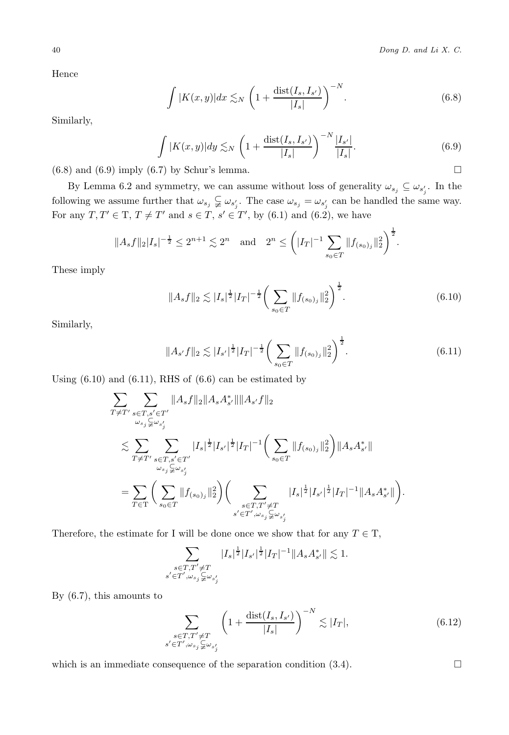Hence

$$
\int |K(x,y)|dx \lesssim_N \left(1 + \frac{\text{dist}(I_s, I_{s'})}{|I_s|}\right)^{-N}.\tag{6.8}
$$

Similarly,

$$
\int |K(x,y)| dy \lesssim_N \left(1 + \frac{\text{dist}(I_s, I_{s'})}{|I_s|}\right)^{-N} \frac{|I_{s'}|}{|I_s|}. \tag{6.9}
$$

 $(6.8)$  and  $(6.9)$  imply  $(6.7)$  by Schur's lemma.

By Lemma 6.2 and symmetry, we can assume without loss of generality  $\omega_{s_j} \subseteq \omega_{s'_j}$ . In the following we assume further that  $\omega_{s_j} \subsetneqq \omega_{s'_j}$ . The case  $\omega_{s_j} = \omega_{s'_j}$  can be handled the same way. For any  $T, T' \in T, T \neq T'$  and  $s \in T, s' \in T'$ , by (6.1) and (6.2), we have

$$
||A_s f||_2 |I_s|^{-\frac{1}{2}} \leq 2^{n+1} \lesssim 2^n
$$
 and  $2^n \leq (|I_T|^{-1} \sum_{s_0 \in T} ||f_{(s_0)_j}||_2^2)^{\frac{1}{2}}$ .

These imply

$$
||A_s f||_2 \lesssim |I_s|^{\frac{1}{2}} |I_T|^{-\frac{1}{2}} \bigg( \sum_{s_0 \in T} ||f_{(s_0)_j}||_2^2 \bigg)^{\frac{1}{2}}.
$$
 (6.10)

Similarly,

$$
||A_{s'}f||_2 \lesssim |I_{s'}|^{\frac{1}{2}}|I_T|^{-\frac{1}{2}} \bigg(\sum_{s_0 \in T} ||f_{(s_0)_j}||_2^2\bigg)^{\frac{1}{2}}.
$$
\n(6.11)

Using  $(6.10)$  and  $(6.11)$ , RHS of  $(6.6)$  can be estimated by

$$
\sum_{T \neq T'} \sum_{\substack{s \in T, s' \in T' \\ \omega_{s_j} \subsetneq \omega_{s'_j}}} \|A_s f\|_2 \|A_s A_{s'}^* \| \|A_{s'} f\|_2
$$
\n
$$
\lesssim \sum_{T \neq T'} \sum_{\substack{s \in T, s' \in T' \\ \omega_{s_j} \subsetneq \omega_{s'_j}}} |I_s|^{\frac{1}{2}} |I_{s'}|^{\frac{1}{2}} |I_T|^{-1} \Big( \sum_{s_0 \in T} \|f_{(s_0)_j}\|_2^2 \Big) \|A_s A_{s'}^* \|
$$
\n
$$
= \sum_{T \in T} \Big( \sum_{s_0 \in T} \|f_{(s_0)_j}\|_2^2 \Big) \Big( \sum_{\substack{s \in T, T' \neq T \\ s' \in T', \omega_{s_j} \subsetneq \omega_{s'_j}}} |I_s|^{\frac{1}{2}} |I_{s'}|^{\frac{1}{2}} |I_T|^{-1} \|A_s A_{s'}^* \| \Big).
$$

Therefore, the estimate for I will be done once we show that for any  $T\in\mathcal{T},$ 

$$
\sum_{\substack{s\in T, T'\neq T\\s'\in T', \omega_{s_j}\subsetneqq \omega_{s'_j}}}|I_s|^{\frac{1}{2}}|I_{s'}|^{\frac{1}{2}}|I_T|^{-1}\|A_sA_{s'}^*\|\lesssim 1.
$$

By (6.7), this amounts to

$$
\sum_{\substack{s \in T, T' \neq T \\ s' \in T', \omega_{s_j} \subsetneqq \omega_{s'_j}}} \left(1 + \frac{\text{dist}(I_s, I_{s'})}{|I_s|}\right)^{-N} \lesssim |I_T|,\tag{6.12}
$$

which is an immediate consequence of the separation condition  $(3.4)$ .